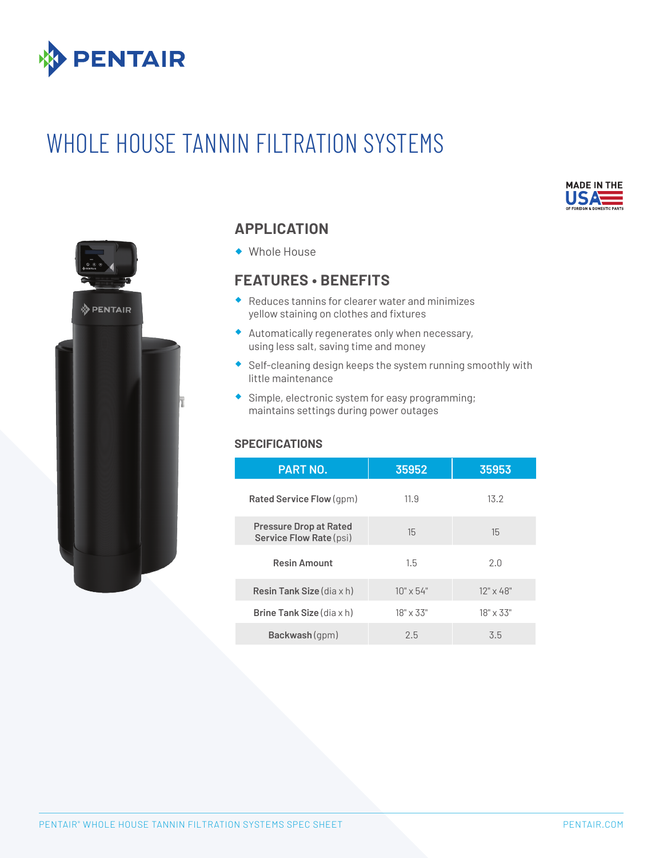

# WHOLE HOUSE TANNIN FILTRATION SYSTEMS





## **APPLICATION**

® Whole House

## **FEATURES • BENEFITS**

- $\bullet$  Reduces tannins for clearer water and minimizes yellow staining on clothes and fixtures
- $\triangleq$  Automatically regenerates only when necessary, using less salt, saving time and money
- ® Self-cleaning design keeps the system running smoothly with little maintenance
- ® Simple, electronic system for easy programming; maintains settings during power outages

#### **SPECIFICATIONS**

| <b>PART NO.</b>                                          | 35952            | 35953            |
|----------------------------------------------------------|------------------|------------------|
| Rated Service Flow (gpm)                                 | 11.9             | 13.2             |
| <b>Pressure Drop at Rated</b><br>Service Flow Rate (psi) | 15               | 15               |
| <b>Resin Amount</b>                                      | 1.5              | 2.0              |
| <b>Resin Tank Size</b> (dia $\times$ h)                  | $10" \times 54"$ | $12" \times 48"$ |
| <b>Brine Tank Size</b> $(\text{dia } x h)$               | $18" \times 33"$ | $18" \times 33"$ |
| Backwash (gpm)                                           | 2.5              | 3.5              |